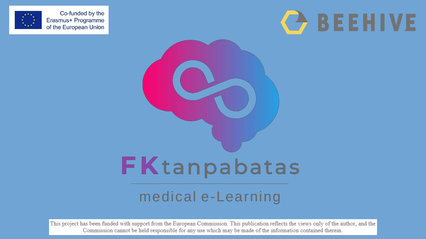

Co-funded by the Erasmus+ Programme of the European Union





#### medical e-Learning

This project has been funded with support from the European Commission. This publication reflects the views only of the author, and the Commission cannot be held responsible for any use which may be made of the information contained therein.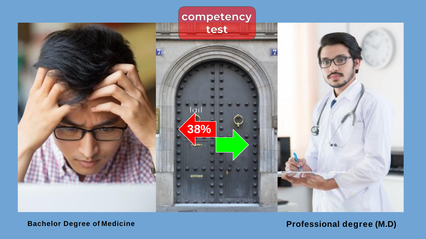

**Bachelor Degree of Medicine Professional degree (M.D)**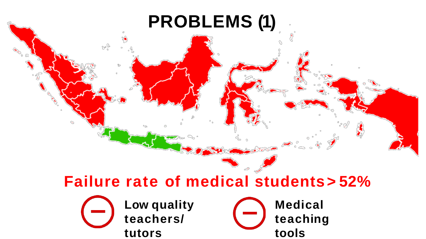# **PROBLEMS (1)**

## **Failure rate of medical students > 52%**

**Low quality teachers/ tutors**

 $20^{\circ}$ 

**Medical teaching tools**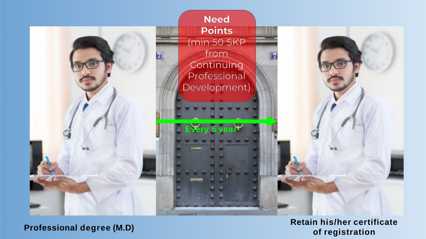

**Professional degree (M.D) Retain his/her certificate Retain his/her certificate of registration**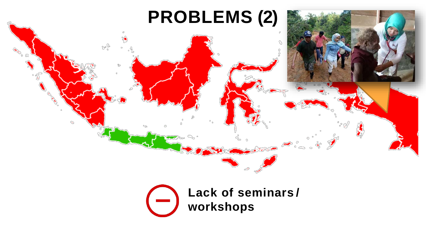

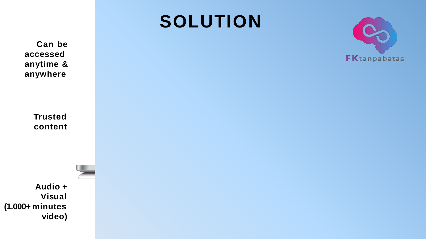#### **Can be accessed anytime & anywhere**

**Trusted content**

**Audio + Visual (1.000+ minutes video)**

# **SOLUTION**

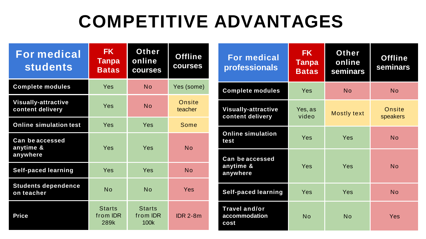# **COMPETITIVE ADVANTAGES**

| <b>For medical</b><br><b>students</b>          | <b>FK</b><br><b>Tanpa</b><br><b>Batas</b> | Other<br>online<br>courses        | <b>Offline</b><br>courses |
|------------------------------------------------|-------------------------------------------|-----------------------------------|---------------------------|
| <b>Complete modules</b>                        | Yes                                       | <b>No</b>                         | Yes (some)                |
| <b>Visually-attractive</b><br>content delivery | Yes                                       | <b>No</b>                         | Onsite<br>teacher         |
| <b>Online simulation test</b>                  | Yes                                       | Yes                               | Some                      |
| Can be accessed<br>anytime &<br>anywhere       | Yes                                       | Yes                               | N <sub>0</sub>            |
| <b>Self-paced learning</b>                     | Yes                                       | Yes                               | No                        |
| <b>Students dependence</b><br>on teacher       | N <sub>0</sub>                            | No                                | Yes                       |
| Price                                          | <b>Starts</b><br>from IDR<br>289k         | <b>Starts</b><br>from IDR<br>100k | $IDR2-8m$                 |

| <b>For medical</b><br>professionals             | <b>FK</b><br><b>Tanpa</b><br><b>Batas</b> | Other<br>online<br>seminars | <b>Offline</b><br>seminars |
|-------------------------------------------------|-------------------------------------------|-----------------------------|----------------------------|
| <b>Complete modules</b>                         | Yes                                       | N <sub>0</sub>              | No                         |
| <b>Visually-attractive</b><br>content delivery  | Yes, as<br>video                          | <b>Mostly text</b>          | Onsite<br>speakers         |
| <b>Online simulation</b><br>test                | Yes                                       | Yes                         | <b>No</b>                  |
| <b>Can be accessed</b><br>anytime &<br>anywhere | Yes                                       | Yes                         | <b>No</b>                  |
| <b>Self-paced learning</b>                      | Yes                                       | Yes                         | <b>No</b>                  |
| Travel and/or<br>accommodation<br>cost          | N <sub>0</sub>                            | No                          | Yes                        |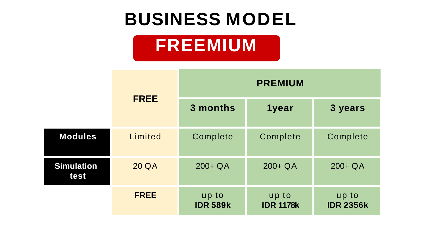# **BUSINESS MODEL**

**FREEMIUM**

|                           | <b>FREE</b>  | <b>PREMIUM</b>           |                           |                           |
|---------------------------|--------------|--------------------------|---------------------------|---------------------------|
|                           |              | 3 months                 | 1year                     | 3 years                   |
| <b>Modules</b>            | Limited      | Complete                 | Complete                  | Complete                  |
| <b>Simulation</b><br>test | <b>20 QA</b> | $200+QA$                 | $200+QA$                  | $200+QA$                  |
|                           | <b>FREE</b>  | up to<br><b>IDR 589k</b> | up to<br><b>IDR 1178k</b> | up to<br><b>IDR 2356k</b> |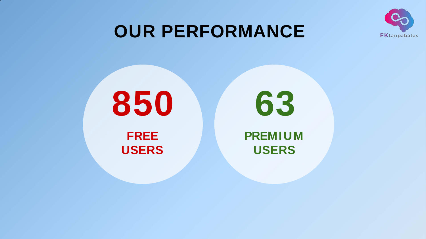

## **OUR PERFORMANCE**



**FREE USERS** **63**

**PREMIUM USERS**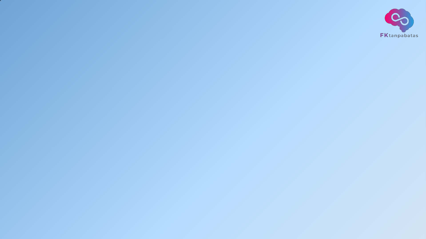

. .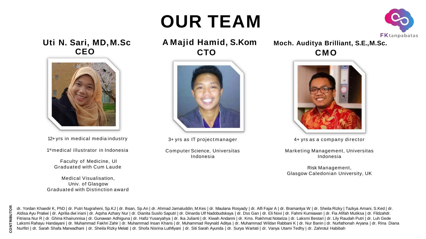# **OUR TEAM**



**Uti N. Sari, MD, M.Sc CEO**



12+ yrs in medical media industry

1st medical illustrator in Indonesia

Faculty of Medicine, UI Graduated with Cum Laude

Medical Visualisation, Univ. of Glasgow Graduated with Distinction award **A Majid Hamid, S.Kom CTO**



3+ yrs as IT project manager

Computer Science, Universitas Indonesia

**Moch. Auditya Brilliant, S.E.,M.Sc. CMO**



4+ yrs as a company director

Marketing Management, Universitas Indonesia

Risk Management, Glasgow Caledonian University, UK

dr. Yordan Khaedir K, PhD | dr. Putri Nugraheni, Sp.KJ | dr. Ihsan, Sp.An | dr. Ahmad Jamaluddin, M.Kes | dr. Maulana Rosyady | dr. Alfi Fajar A | dr. Bramantya W | dr. Sheila Rizky | Tazkya Amani, S.Ked | dr. Aldisa Ayu Pratiwi | dr. Aprilia dwi iriani | dr. Aqsha Azhary Nur | dr. Dianita Susilo Saputri | dr. Dinarda Ulf Nadobudskaya | dr. Dss Gan | dr. Eli Novi | dr. Fahmi Kurniawan | dr. Fia Afifah Mutiksa | dr. Fildzahdr. Fitriana Nur R | dr. Ghina Khairunnisa | dr. Gunawan Adhiguna | dr. Hafiz Yusaryahya | dr. Ika Julianti | dr. Kiwah Andanni | dr. Kms. Rakhmat Notariza | dr. Laksmi Bestari | dr. Lily Raudah Putri | dr. Luh Gede Laksmi Rahayu Handayani | dr. Muhammad Fakhri Zahir | dr. Muhammad Insan Kharis | dr. Muhammad Reynald Aditya | dr. Muhammad Wildan Rabbani K | dr. Nur Banin | dr. Nurfathonah Aryana | dr. Rina Diana Nurfitri | dr. Sarah Shafa Marwadhani | dr. Sheila Rizky Melati | dr. Shofa Nisrina Luthfiyani | dr. Siti Sarah Ayunda | dr. Surya Wartati | dr. Vanya Utami Tedhy | dr. Zahrotul Habibah